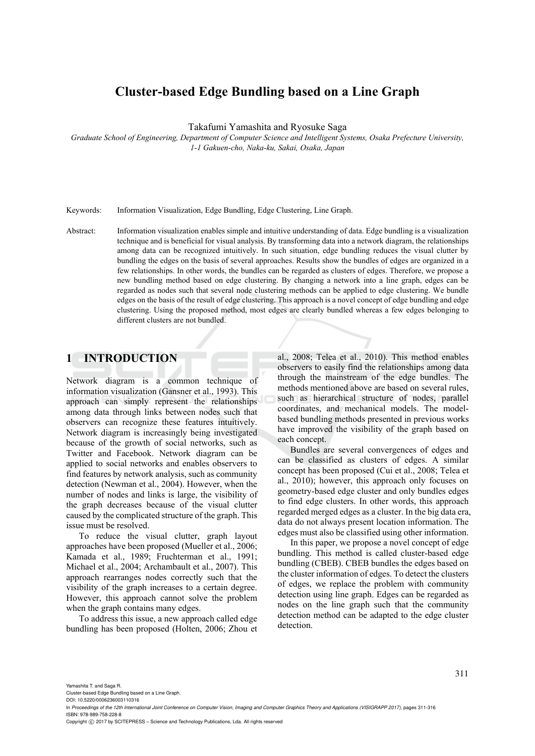# **Cluster-based Edge Bundling based on a Line Graph**

Takafumi Yamashita and Ryosuke Saga

*Graduate School of Engineering, Department of Computer Science and Intelligent Systems, Osaka Prefecture University, 1-1 Gakuen-cho, Naka-ku, Sakai, Osaka, Japan* 

Keywords: Information Visualization, Edge Bundling, Edge Clustering, Line Graph.

Abstract: Information visualization enables simple and intuitive understanding of data. Edge bundling is a visualization technique and is beneficial for visual analysis. By transforming data into a network diagram, the relationships among data can be recognized intuitively. In such situation, edge bundling reduces the visual clutter by bundling the edges on the basis of several approaches. Results show the bundles of edges are organized in a few relationships. In other words, the bundles can be regarded as clusters of edges. Therefore, we propose a new bundling method based on edge clustering. By changing a network into a line graph, edges can be regarded as nodes such that several node clustering methods can be applied to edge clustering. We bundle edges on the basis of the result of edge clustering. This approach is a novel concept of edge bundling and edge clustering. Using the proposed method, most edges are clearly bundled whereas a few edges belonging to different clusters are not bundled.

### **1 INTRODUCTION**

Network diagram is a common technique of information visualization (Gansner et al., 1993). This approach can simply represent the relationships among data through links between nodes such that observers can recognize these features intuitively. Network diagram is increasingly being investigated because of the growth of social networks, such as Twitter and Facebook. Network diagram can be applied to social networks and enables observers to find features by network analysis, such as community detection (Newman et al., 2004). However, when the number of nodes and links is large, the visibility of the graph decreases because of the visual clutter caused by the complicated structure of the graph. This issue must be resolved.

To reduce the visual clutter, graph layout approaches have been proposed (Mueller et al., 2006; Kamada et al., 1989; Fruchterman et al., 1991; Michael et al., 2004; Archambault et al., 2007). This approach rearranges nodes correctly such that the visibility of the graph increases to a certain degree. However, this approach cannot solve the problem when the graph contains many edges.

To address this issue, a new approach called edge bundling has been proposed (Holten, 2006; Zhou et al., 2008; Telea et al., 2010). This method enables observers to easily find the relationships among data through the mainstream of the edge bundles. The methods mentioned above are based on several rules, such as hierarchical structure of nodes, parallel coordinates, and mechanical models. The modelbased bundling methods presented in previous works have improved the visibility of the graph based on each concept.

Bundles are several convergences of edges and can be classified as clusters of edges. A similar concept has been proposed (Cui et al., 2008; Telea et al., 2010); however, this approach only focuses on geometry-based edge cluster and only bundles edges to find edge clusters. In other words, this approach regarded merged edges as a cluster. In the big data era, data do not always present location information. The edges must also be classified using other information.

In this paper, we propose a novel concept of edge bundling. This method is called cluster-based edge bundling (CBEB). CBEB bundles the edges based on the cluster information of edges. To detect the clusters of edges, we replace the problem with community detection using line graph. Edges can be regarded as nodes on the line graph such that the community detection method can be adapted to the edge cluster detection.

Yamashita T. and Saga R.

Cluster-based Edge Bundling based on a Line Graph. DOI: 10.5220/0006236003110316

Copyright (C) 2017 by SCITEPRESS - Science and Technology Publications, Lda. All rights reserved

In *Proceedings of the 12th International Joint Conference on Computer Vision, Imaging and Computer Graphics Theory and Applications (VISIGRAPP 2017)*, pages 311-316 ISBN: 978-989-758-228-8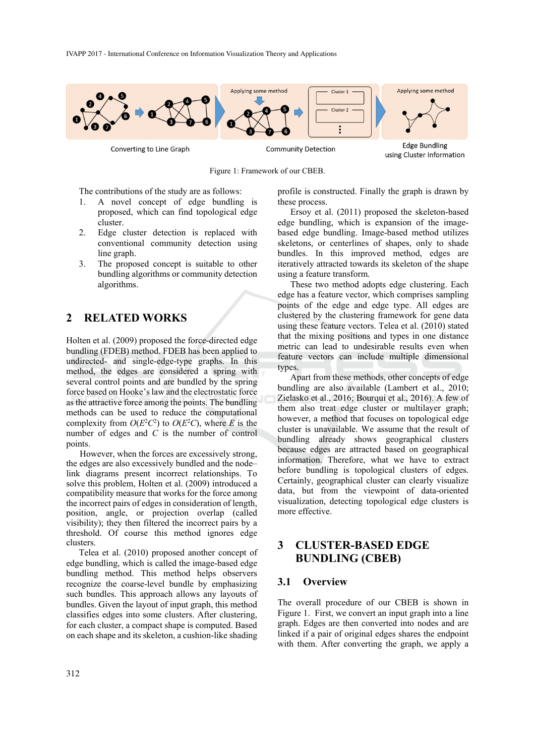

Figure 1: Framework of our CBEB.

**Edge Bundling** using Cluster Information

The contributions of the study are as follows:

- 1. A novel concept of edge bundling is proposed, which can find topological edge cluster.
- 2. Edge cluster detection is replaced with conventional community detection using line graph.
- 3. The proposed concept is suitable to other bundling algorithms or community detection algorithms.

### **2 RELATED WORKS**

Holten et al. (2009) proposed the force-directed edge bundling (FDEB) method. FDEB has been applied to undirected- and single-edge-type graphs. In this method, the edges are considered a spring with several control points and are bundled by the spring force based on Hooke's law and the electrostatic force as the attractive force among the points. The bundling methods can be used to reduce the computational complexity from  $O(E^2C^2)$  to  $O(E^2C)$ , where *E* is the number of edges and *C* is the number of control points.

However, when the forces are excessively strong, the edges are also excessively bundled and the node– link diagrams present incorrect relationships. To solve this problem, Holten et al. (2009) introduced a compatibility measure that works for the force among the incorrect pairs of edges in consideration of length, position, angle, or projection overlap (called visibility); they then filtered the incorrect pairs by a threshold. Of course this method ignores edge clusters.

Telea et al. (2010) proposed another concept of edge bundling, which is called the image-based edge bundling method. This method helps observers recognize the coarse-level bundle by emphasizing such bundles. This approach allows any layouts of bundles. Given the layout of input graph, this method classifies edges into some clusters. After clustering, for each cluster, a compact shape is computed. Based on each shape and its skeleton, a cushion-like shading profile is constructed. Finally the graph is drawn by these process.

Ersoy et al. (2011) proposed the skeleton-based edge bundling, which is expansion of the imagebased edge bundling. Image-based method utilizes skeletons, or centerlines of shapes, only to shade bundles. In this improved method, edges are iteratively attracted towards its skeleton of the shape using a feature transform.

These two method adopts edge clustering. Each edge has a feature vector, which comprises sampling points of the edge and edge type. All edges are clustered by the clustering framework for gene data using these feature vectors. Telea et al. (2010) stated that the mixing positions and types in one distance metric can lead to undesirable results even when feature vectors can include multiple dimensional types.

Apart from these methods, other concepts of edge bundling are also available (Lambert et al., 2010; Zielasko et al., 2016; Bourqui et al., 2016). A few of them also treat edge cluster or multilayer graph; however, a method that focuses on topological edge cluster is unavailable. We assume that the result of bundling already shows geographical clusters because edges are attracted based on geographical information. Therefore, what we have to extract before bundling is topological clusters of edges. Certainly, geographical cluster can clearly visualize data, but from the viewpoint of data-oriented visualization, detecting topological edge clusters is more effective.

## **3 CLUSTER-BASED EDGE BUNDLING (CBEB)**

#### **3.1 Overview**

The overall procedure of our CBEB is shown in Figure 1. First, we convert an input graph into a line graph. Edges are then converted into nodes and are linked if a pair of original edges shares the endpoint with them. After converting the graph, we apply a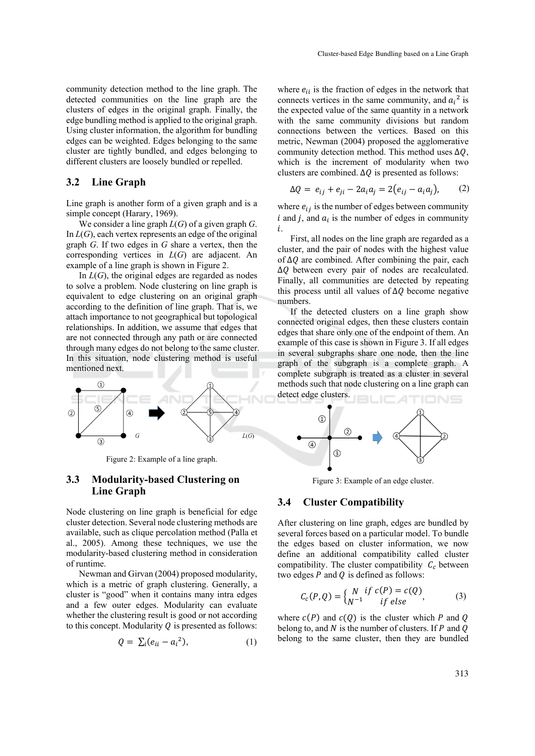community detection method to the line graph. The detected communities on the line graph are the clusters of edges in the original graph. Finally, the edge bundling method is applied to the original graph. Using cluster information, the algorithm for bundling edges can be weighted. Edges belonging to the same cluster are tightly bundled, and edges belonging to different clusters are loosely bundled or repelled.

#### **3.2 Line Graph**

Line graph is another form of a given graph and is a simple concept (Harary, 1969).

We consider a line graph *L*(*G*) of a given graph *G*. In *L*(*G*), each vertex represents an edge of the original graph *G*. If two edges in *G* share a vertex, then the corresponding vertices in *L*(*G*) are adjacent. An example of a line graph is shown in Figure 2.

In  $L(G)$ , the original edges are regarded as nodes to solve a problem. Node clustering on line graph is equivalent to edge clustering on an original graph according to the definition of line graph. That is, we attach importance to not geographical but topological relationships. In addition, we assume that edges that are not connected through any path or are connected through many edges do not belong to the same cluster. In this situation, node clustering method is useful mentioned next.



Figure 2: Example of a line graph.

#### **3.3 Modularity-based Clustering on Line Graph**

Node clustering on line graph is beneficial for edge cluster detection. Several node clustering methods are available, such as clique percolation method (Palla et al., 2005). Among these techniques, we use the modularity-based clustering method in consideration of runtime.

Newman and Girvan (2004) proposed modularity, which is a metric of graph clustering. Generally, a cluster is "good" when it contains many intra edges and a few outer edges. Modularity can evaluate whether the clustering result is good or not according to this concept. Modularity  $\theta$  is presented as follows:

$$
Q = \sum_{i} (e_{ii} - a_i^2), \qquad (1)
$$

where  $e_{ii}$  is the fraction of edges in the network that connects vertices in the same community, and  $a_i^2$  is the expected value of the same quantity in a network with the same community divisions but random connections between the vertices. Based on this metric, Newman (2004) proposed the agglomerative community detection method. This method uses  $\Delta Q$ , which is the increment of modularity when two clusters are combined.  $\Delta Q$  is presented as follows:

$$
\Delta Q = e_{ij} + e_{ji} - 2a_i a_j = 2(e_{ij} - a_i a_j), \qquad (2)
$$

where  $e_{ij}$  is the number of edges between community  $i$  and  $j$ , and  $a_i$  is the number of edges in community ݅.

First, all nodes on the line graph are regarded as a cluster, and the pair of nodes with the highest value of  $\Delta Q$  are combined. After combining the pair, each ∆Q between every pair of nodes are recalculated. Finally, all communities are detected by repeating this process until all values of  $\Delta Q$  become negative numbers.

If the detected clusters on a line graph show connected original edges, then these clusters contain edges that share only one of the endpoint of them. An example of this case is shown in Figure 3. If all edges in several subgraphs share one node, then the line graph of the subgraph is a complete graph. A complete subgraph is treated as a cluster in several methods such that node clustering on a line graph can detect edge clusters.



Figure 3: Example of an edge cluster.

#### **3.4 Cluster Compatibility**

After clustering on line graph, edges are bundled by several forces based on a particular model. To bundle the edges based on cluster information, we now define an additional compatibility called cluster compatibility. The cluster compatibility  $C_c$  between two edges  $P$  and  $Q$  is defined as follows:

$$
C_c(P,Q) = \begin{cases} N & \text{if } c(P) = c(Q) \\ N^{-1} & \text{if else} \end{cases}
$$
 (3)

where  $c(P)$  and  $c(Q)$  is the cluster which P and Q belong to, and  $N$  is the number of clusters. If  $P$  and  $Q$ belong to the same cluster, then they are bundled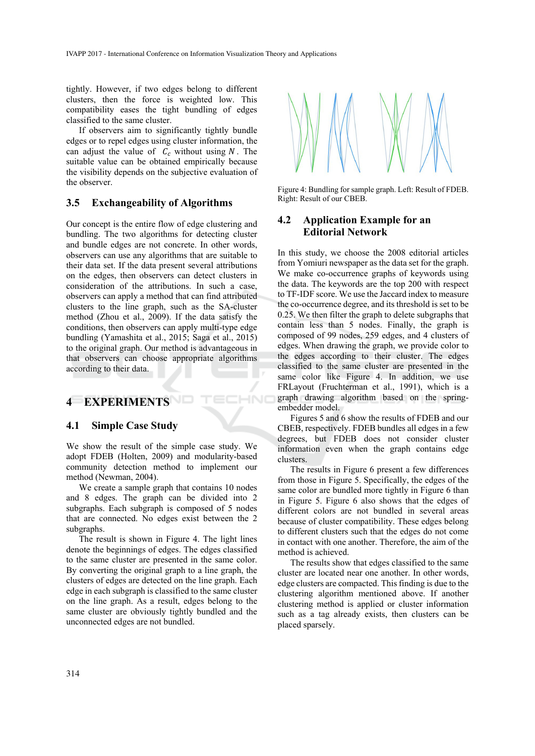tightly. However, if two edges belong to different clusters, then the force is weighted low. This compatibility eases the tight bundling of edges classified to the same cluster.

If observers aim to significantly tightly bundle edges or to repel edges using cluster information, the can adjust the value of  $C_c$  without using  $N$ . The suitable value can be obtained empirically because the visibility depends on the subjective evaluation of the observer.

#### **3.5 Exchangeability of Algorithms**

Our concept is the entire flow of edge clustering and bundling. The two algorithms for detecting cluster and bundle edges are not concrete. In other words, observers can use any algorithms that are suitable to their data set. If the data present several attributions on the edges, then observers can detect clusters in consideration of the attributions. In such a case, observers can apply a method that can find attributed clusters to the line graph, such as the SA-cluster method (Zhou et al., 2009). If the data satisfy the conditions, then observers can apply multi-type edge bundling (Yamashita et al., 2015; Saga et al., 2015) to the original graph. Our method is advantageous in that observers can choose appropriate algorithms according to their data.

## **4 EXPERIMENTS**

#### **4.1 Simple Case Study**

We show the result of the simple case study. We adopt FDEB (Holten, 2009) and modularity-based community detection method to implement our method (Newman, 2004).

HNC

We create a sample graph that contains 10 nodes and 8 edges. The graph can be divided into 2 subgraphs. Each subgraph is composed of 5 nodes that are connected. No edges exist between the 2 subgraphs.

The result is shown in Figure 4. The light lines denote the beginnings of edges. The edges classified to the same cluster are presented in the same color. By converting the original graph to a line graph, the clusters of edges are detected on the line graph. Each edge in each subgraph is classified to the same cluster on the line graph. As a result, edges belong to the same cluster are obviously tightly bundled and the unconnected edges are not bundled.



Figure 4: Bundling for sample graph. Left: Result of FDEB. Right: Result of our CBEB.

### **4.2 Application Example for an Editorial Network**

In this study, we choose the 2008 editorial articles from Yomiuri newspaper as the data set for the graph. We make co-occurrence graphs of keywords using the data. The keywords are the top 200 with respect to TF-IDF score. We use the Jaccard index to measure the co-occurrence degree, and its threshold is set to be 0.25. We then filter the graph to delete subgraphs that contain less than 5 nodes. Finally, the graph is composed of 99 nodes, 259 edges, and 4 clusters of edges. When drawing the graph, we provide color to the edges according to their cluster. The edges classified to the same cluster are presented in the same color like Figure 4. In addition, we use FRLayout (Fruchterman et al., 1991), which is a graph drawing algorithm based on the springembedder model.

Figures 5 and 6 show the results of FDEB and our CBEB, respectively. FDEB bundles all edges in a few degrees, but FDEB does not consider cluster information even when the graph contains edge clusters.

The results in Figure 6 present a few differences from those in Figure 5. Specifically, the edges of the same color are bundled more tightly in Figure 6 than in Figure 5. Figure 6 also shows that the edges of different colors are not bundled in several areas because of cluster compatibility. These edges belong to different clusters such that the edges do not come in contact with one another. Therefore, the aim of the method is achieved.

The results show that edges classified to the same cluster are located near one another. In other words, edge clusters are compacted. This finding is due to the clustering algorithm mentioned above. If another clustering method is applied or cluster information such as a tag already exists, then clusters can be placed sparsely.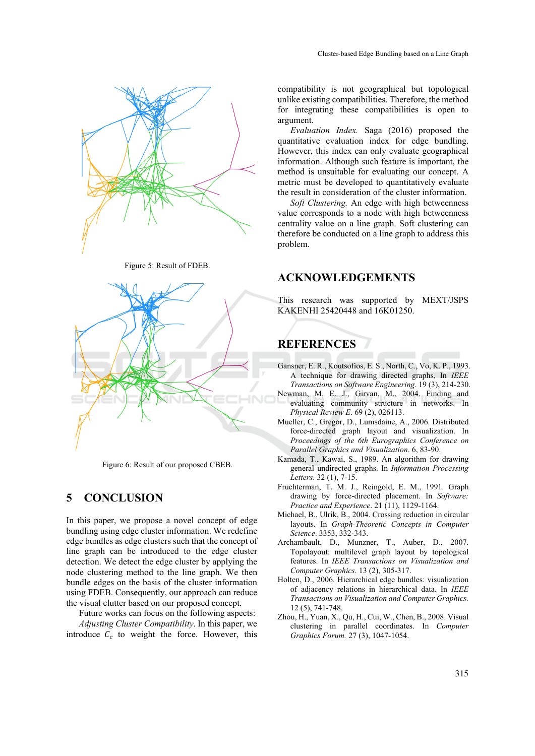

Figure 5: Result of FDEB.



Figure 6: Result of our proposed CBEB.

## **5 CONCLUSION**

In this paper, we propose a novel concept of edge bundling using edge cluster information. We redefine edge bundles as edge clusters such that the concept of line graph can be introduced to the edge cluster detection. We detect the edge cluster by applying the node clustering method to the line graph. We then bundle edges on the basis of the cluster information using FDEB. Consequently, our approach can reduce the visual clutter based on our proposed concept.

Future works can focus on the following aspects: *Adjusting Cluster Compatibility*. In this paper, we introduce  $C_c$  to weight the force. However, this compatibility is not geographical but topological unlike existing compatibilities. Therefore, the method for integrating these compatibilities is open to argument.

*Evaluation Index.* Saga (2016) proposed the quantitative evaluation index for edge bundling. However, this index can only evaluate geographical information. Although such feature is important, the method is unsuitable for evaluating our concept. A metric must be developed to quantitatively evaluate the result in consideration of the cluster information.

*Soft Clustering.* An edge with high betweenness value corresponds to a node with high betweenness centrality value on a line graph. Soft clustering can therefore be conducted on a line graph to address this problem.

#### **ACKNOWLEDGEMENTS**

This research was supported by MEXT/JSPS KAKENHI 25420448 and 16K01250.

## **REFERENCES**

- Gansner, E. R., Koutsofios, E. S., North, C., Vo, K. P., 1993. A technique for drawing directed graphs, In *IEEE Transactions on Software Engineering*. 19 (3), 214-230.
- Newman, M. E. J., Girvan, M., 2004. Finding and evaluating community structure in networks. In *Physical Review E*. 69 (2), 026113.
- Mueller, C., Gregor, D., Lumsdaine, A., 2006. Distributed force-directed graph layout and visualization. In *Proceedings of the 6th Eurographics Conference on Parallel Graphics and Visualization*. 6, 83-90.
- Kamada, T., Kawai, S., 1989. An algorithm for drawing general undirected graphs. In *Information Processing Letters*. 32 (1), 7-15.
- Fruchterman, T. M. J., Reingold, E. M., 1991. Graph drawing by force-directed placement. In *Software: Practice and Experience*. 21 (11), 1129-1164.
- Michael, B., Ulrik, B., 2004. Crossing reduction in circular layouts. In *Graph-Theoretic Concepts in Computer Science*. 3353, 332-343.
- Archambault, D., Munzner, T., Auber, D., 2007. Topolayout: multilevel graph layout by topological features. In *IEEE Transactions on Visualization and Computer Graphics*. 13 (2), 305-317.
- Holten, D., 2006. Hierarchical edge bundles: visualization of adjacency relations in hierarchical data. In *IEEE Transactions on Visualization and Computer Graphics.* 12 (5), 741-748.
- Zhou, H., Yuan, X., Qu, H., Cui, W., Chen, B., 2008. Visual clustering in parallel coordinates. In *Computer Graphics Forum.* 27 (3), 1047-1054.